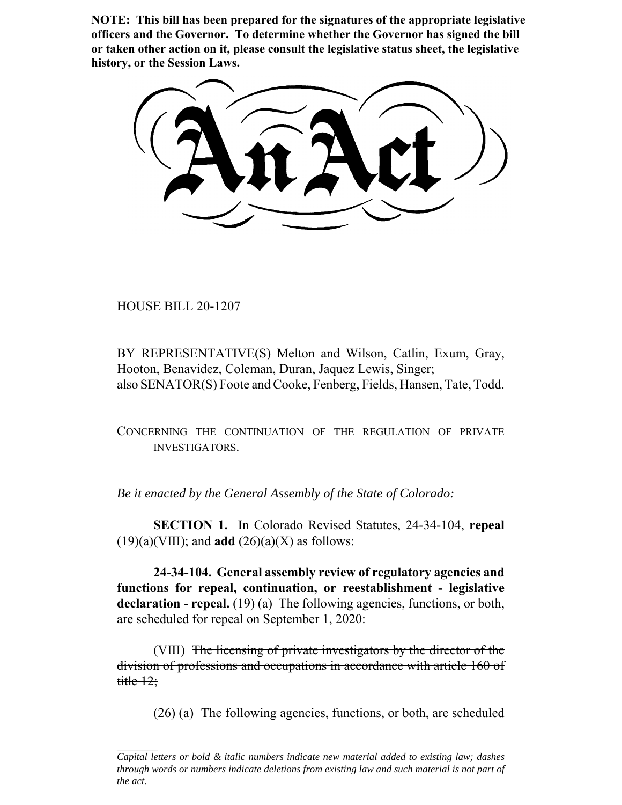**NOTE: This bill has been prepared for the signatures of the appropriate legislative officers and the Governor. To determine whether the Governor has signed the bill or taken other action on it, please consult the legislative status sheet, the legislative history, or the Session Laws.**

HOUSE BILL 20-1207

BY REPRESENTATIVE(S) Melton and Wilson, Catlin, Exum, Gray, Hooton, Benavidez, Coleman, Duran, Jaquez Lewis, Singer; also SENATOR(S) Foote and Cooke, Fenberg, Fields, Hansen, Tate, Todd.

CONCERNING THE CONTINUATION OF THE REGULATION OF PRIVATE INVESTIGATORS.

*Be it enacted by the General Assembly of the State of Colorado:*

**SECTION 1.** In Colorado Revised Statutes, 24-34-104, **repeal**  $(19)(a)(VIII)$ ; and **add**  $(26)(a)(X)$  as follows:

**24-34-104. General assembly review of regulatory agencies and functions for repeal, continuation, or reestablishment - legislative** declaration - repeal. (19) (a) The following agencies, functions, or both, are scheduled for repeal on September 1, 2020:

(VIII) The licensing of private investigators by the director of the division of professions and occupations in accordance with article 160 of title  $12$ ;

(26) (a) The following agencies, functions, or both, are scheduled

*Capital letters or bold & italic numbers indicate new material added to existing law; dashes through words or numbers indicate deletions from existing law and such material is not part of the act.*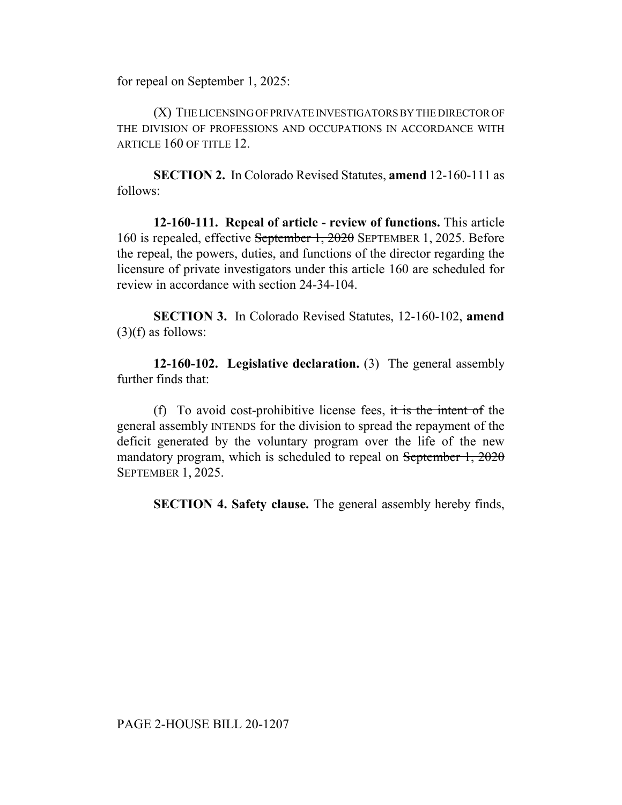for repeal on September 1, 2025:

(X) THE LICENSING OF PRIVATE INVESTIGATORS BY THE DIRECTOR OF THE DIVISION OF PROFESSIONS AND OCCUPATIONS IN ACCORDANCE WITH ARTICLE 160 OF TITLE 12.

**SECTION 2.** In Colorado Revised Statutes, **amend** 12-160-111 as follows:

**12-160-111. Repeal of article - review of functions.** This article 160 is repealed, effective September 1, 2020 SEPTEMBER 1, 2025. Before the repeal, the powers, duties, and functions of the director regarding the licensure of private investigators under this article 160 are scheduled for review in accordance with section 24-34-104.

**SECTION 3.** In Colorado Revised Statutes, 12-160-102, **amend**  $(3)(f)$  as follows:

**12-160-102. Legislative declaration.** (3) The general assembly further finds that:

(f) To avoid cost-prohibitive license fees, it is the intent of the general assembly INTENDS for the division to spread the repayment of the deficit generated by the voluntary program over the life of the new mandatory program, which is scheduled to repeal on September 1, 2020 SEPTEMBER 1, 2025.

**SECTION 4. Safety clause.** The general assembly hereby finds,